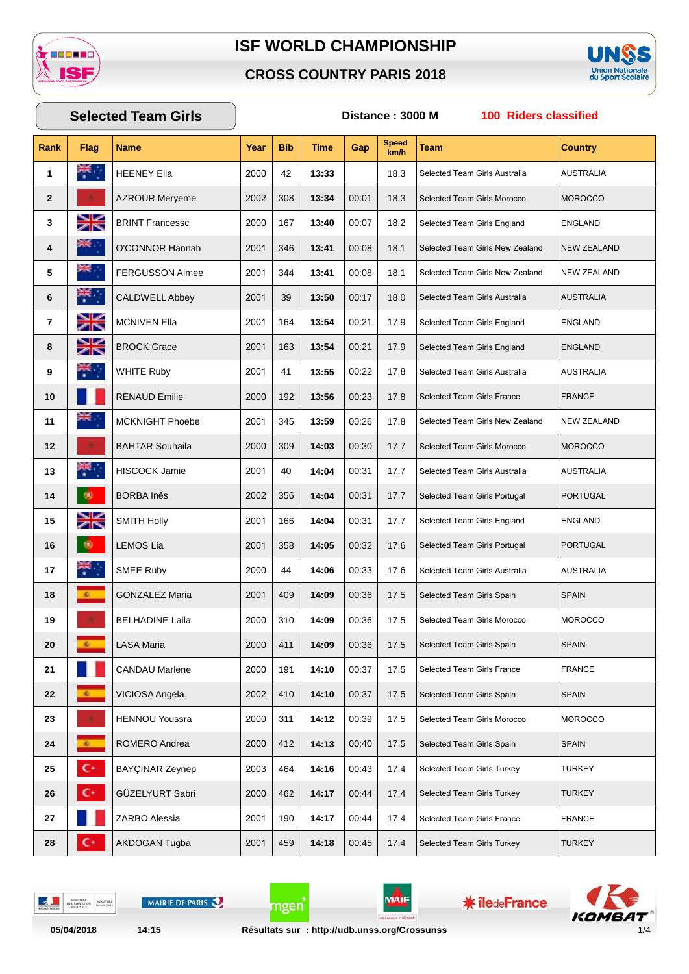

#### **CROSS COUNTRY PARIS 2018**



# **Rank Flag Name Year Bib Time Gap Speed km/h Team Country Selected Team Girls Distance : 3000 M 100 Riders classified HEENEY Ella** 2000 42 **13:33** 18.3 Selected Team Girls Australia AUSTRALIA AZROUR Merveme 2002 308 **13:34** 00:01 18.3 Selected Team Girls Morocco MOROCCO BRINT Francessc 2000 167 13:40 00:07 18.2 Selected Team Girls England ENGLAND O'CONNOR Hannah 2001 346 **13:41** 00:08 18.1 Selected Team Girls New Zealand NEW ZEALAND FERGUSSON Aimee 2001 344 **13:41** 00:08 18.1 Selected Team Girls New Zealand NEW ZEALAND **CALDWELL Abbey** 2001 39 **13:50** 00:17 18.0 Selected Team Girls Australia AUSTRALIA MCNIVEN Ella 2001 164 13:54 00:21 17.9 Selected Team Girls England ENGLAND BROCK Grace 2001 163 13:54 00:21 17.9 Selected Team Girls England ENGLAND WHITE Ruby 2001 41 **13:55** 00:22 17.8 Selected Team Girls Australia AUSTRALIA **RENAUD Emilie** 2000 192 **13:56** 00:23 17.8 Selected Team Girls France FRANCE MCKNIGHT Phoebe 2001 345 13:59 00:26 17.8 Selected Team Girls New Zealand NEW ZEALAND BAHTAR Souhaila 2000 309 **14:03** 00:30 17.7 Selected Team Girls Morocco MOROCCO HISCOCK Jamie 2001 40 **14:04** 00:31 17.7 Selected Team Girls Australia AUSTRALIA BORBA Inês 2002 356 **14:04** 00:31 17.7 Selected Team Girls Portugal PORTUGAL 15 SMITH Holly 2001 166 14:04 00:31 17.7 Selected Team Girls England ENGLAND LEMOS Lia 2001 358 **14:05** 00:32 17.6 Selected Team Girls Portugal PORTUGAL SMEE Ruby 2000 44 **14:06** 00:33 17.6 Selected Team Girls Australia AUSTRALIA GONZALEZ Maria 2001 409 **14:09** 00:36 17.5 Selected Team Girls Spain SPAIN BELHADINE Laila 2000 310 **14:09** 00:36 17.5 Selected Team Girls Morocco MOROCCO LASA Maria 2000 411 **14:09** 00:36 17.5 Selected Team Girls Spain SPAIN CANDAU Marlene 2000 191 **14:10** 00:37 17.5 Selected Team Girls France FRANCE VICIOSA Angela 2002 410 14:10 00:37 17.5 Selected Team Girls Spain SPAIN HENNOU Youssra 2000 311 14:12 00:39 17.5 Selected Team Girls Morocco MOROCCO ROMERO Andrea 2000 412 14:13 00:40 17.5 Selected Team Girls Spain SPAIN **C** BAYÇINAR Zeynep 2003 464 **14:16** 00:43 17.4 Selected Team Girls Turkey TURKEY GÜZELYURT Sabri 2000 462 **14:17** 00:44 17.4 Selected Team Girls Turkey TURKEY **27** ZARBO Alessia 2001 | 190 | **14:17** | 00:44 | 17.4 Selected Team Girls France FRANCE **COM** AKDOGAN Tugba 2001 459 **14:18** 00:45 17.4 Selected Team Girls Turkey TURKEY

DELTE

MAIRIE DE PARIS



**\* îledeFrance** 



mgen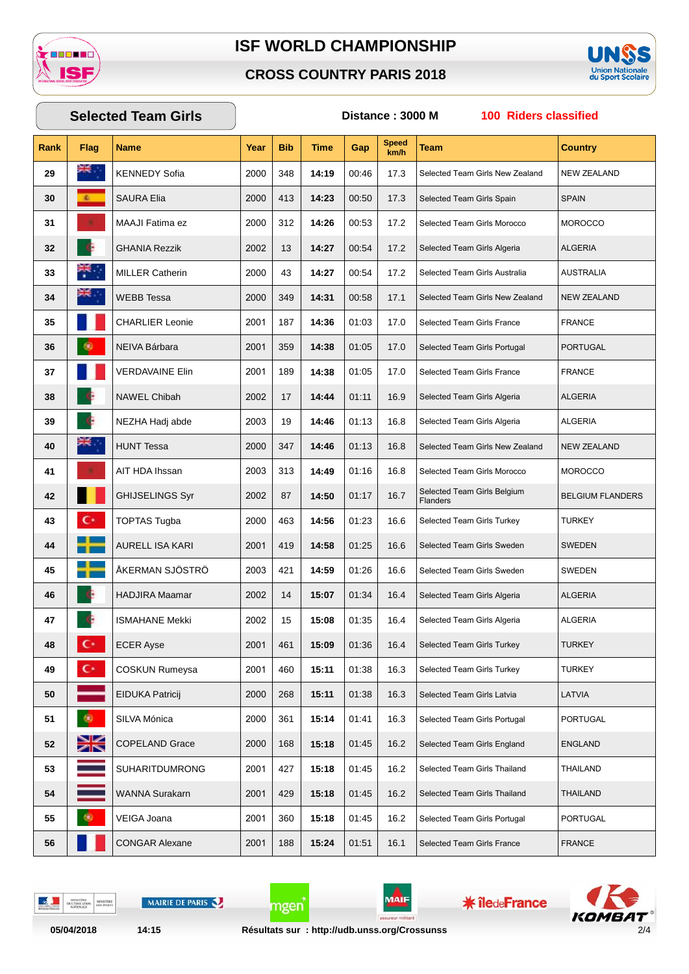

#### **CROSS COUNTRY PARIS 2018**



## **Rank Flag Name Year Bib Time Gap Speed km/h Team Country Selected Team Girls Distance : 3000 M 100 Riders classified** KENNEDY Sofia 2000 348 **14:19** 00:46 17.3 Selected Team Girls New Zealand NEW ZEALAND SAURA Elia 2000 413 | **14:23** | 00:50 | 17.3 Selected Team Girls Spain SPAIN MAAJI Fatima ez 2000 312 | **14:26** | 00:53 | 17.2 | Selected Team Girls Morocco | MOROCCO GHANIA Rezzik 2002 13 **14:27** 00:54 17.2 Selected Team Girls Algeria ALGERIA MILLER Catherin 2000 43 **14:27** 00:54 17.2 Selected Team Girls Australia AUSTRALIA WEBB Tessa 2000 349 **14:31** 00:58 17.1 Selected Team Girls New Zealand NEW ZEALAND CHARLIER Leonie 2001 187 | **14:36** | 01:03 | 17.0 Selected Team Girls France FRANCE NEIVA Bárbara 2001 359 **14:38** 01:05 17.0 Selected Team Girls Portugal PORTUGAL VERDAVAINE Elin 2001 189 **14:38** 01:05 17.0 Selected Team Girls France FRANCE NAWEL Chibah 2002 17 | **14:44** | 01:11 | 16.9 Selected Team Girls Algeria | ALGERIA NEZHA Hadj abde 2003 | 19 | 14:46 | 01:13 | 16.8 | Selected Team Girls Algeria | ALGERIA HUNT Tessa 2000 347 **14:46** 01:13 16.8 Selected Team Girls New Zealand NEW ZEALAND AIT HDA Ihssan 2003 313 **14:49** 01:16 16.8 Selected Team Girls Morocco MOROCCO **GHIJSELINGS Syr** 2002 | 87 | **14:50** 01:17 | 16.7 Selected Team Girls Belgium Selected Team Girls Belgium<br>Flanders 2002 BELGIUM FLANDERS **C** TOPTAS Tugba 2000 463 **14:56** 01:23 16.6 Selected Team Girls Turkey TURKEY AURELL ISA KARI 2001 | 419 | **14:58** | 01:25 | 16.6 Selected Team Girls Sweden SWEDEN ÅKERMAN SJÖSTRÖ 2003 421 **14:59** 01:26 16.6 Selected Team Girls Sweden SWEDEN HADJIRA Maamar 2002 14 **15:07** 01:34 16.4 Selected Team Girls Algeria ALGERIA **ISMAHANE Mekki** 2002 15 **15:08** 01:35 16.4 Selected Team Girls Algeria ALGERIA **CCER Ayse** 2001 461 **15:09** 01:36 16.4 Selected Team Girls Turkey TURKEY COSKUN Rumeysa 2001 460 15:11 01:38 16.3 Selected Team Girls Turkey TURKEY EIDUKA Patricij 2000 268 **15:11** 01:38 16.3 Selected Team Girls Latvia LATVIA SILVA Mónica 2000 361 **15:14** 01:41 16.3 Selected Team Girls Portugal PORTUGAL COPELAND Grace 2000 168 15:18 01:45 16.2 Selected Team Girls England ENGLAND SUHARITDUMRONG 2001 427 **15:18** 01:45 16.2 Selected Team Girls Thailand THAILAND WANNA Surakarn 2001 429 **15:18** 01:45 16.2 Selected Team Girls Thailand THAILAND VEIGA Joana 2001 360 **15:18** 01:45 16.2 Selected Team Girls Portugal PORTUGAL CONGAR Alexane 2001 188 **15:24** 01:51 16.1 Selected Team Girls France FRANCE

DELTO

MAIRIE DE PARIS

mgen

MAIF

**\* îledeFrance** 

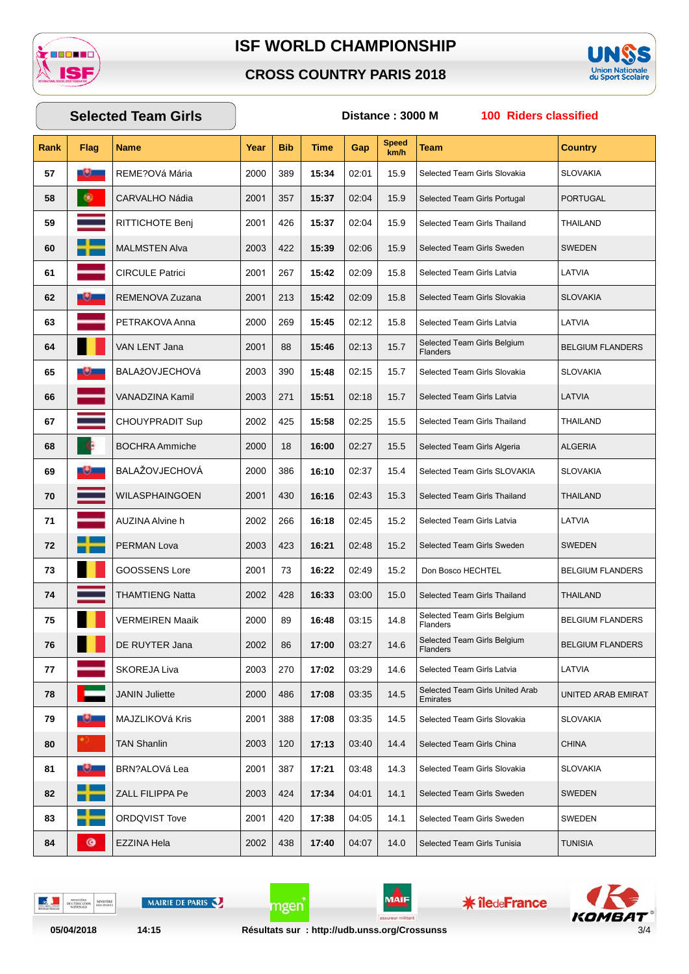

#### **CROSS COUNTRY PARIS 2018**



## **Rank Flag Name Year Bib Time Gap Speed km/h Team Country Selected Team Girls Distance : 3000 M 100 Riders classified 57** REME?OVá Mária 2000 389 **15:34** 02:01 15.9 Selected Team Girls Slovakia SLOVAKIA **58** CARVALHO Nádia 2001 357 **15:37** 02:04 15.9 Selected Team Girls Portugal PORTUGAL **59** RITTICHOTE Benj 2001 426 **15:37** 02:04 15.9 Selected Team Girls Thailand THAILAND **60** MALMSTEN Alva 2003 422 15:39 02:06 15.9 Selected Team Girls Sweden SWEDEN **61** CIRCULE Patrici 2001 267 **15:42** 02:09 15.8 Selected Team Girls Latvia LATVIA **62** REMENOVA Zuzana 2001 213 | **15:42** | 02:09 | 15.8 | Selected Team Girls Slovakia | SLOVAKIA **63** PETRAKOVA Anna 2000 269 **15:45** 02:12 15.8 Selected Team Girls Latvia LATVIA **64 1** VAN LENT Jana 2001 | 88 | **15:46** 02:13 | 15.7 Selected Team Girls Belgium Selected Team Girls Belgium<br>Flanders **65 BALAžOVJECHOVá** 2003 390 **15:48** 02:15 15.7 Selected Team Girls Slovakia SLOVAKIA **66** VANADZINA Kamil 2003 271 **15:51** 02:18 15.7 Selected Team Girls Latvia LATVIA **67** CHOUYPRADIT Sup 2002 425 15:58 02:25 15.5 Selected Team Girls Thailand THAILAND **68** BOCHRA Ammiche 2000 18 16:00 02:27 15.5 Selected Team Girls Algeria ALGERIA **69** BALAŽOVJECHOVÁ 2000 386 **16:10** 02:37 15.4 Selected Team Girls SLOVAKIA SLOVAKIA **70** WILASPHAINGOEN 2001 430 16:16 02:43 15.3 Selected Team Girls Thailand THAILAND **71** AUZINA Alvine h 2002 266 **16:18** 02:45 15.2 Selected Team Girls Latvia LATVIA **72** PERMAN Lova 2003 423 16:21 02:48 15.2 Selected Team Girls Sweden SWEDEN **73** GOOSSENS Lore 2001 73 | **16:22** 02:49 | 15.2 Don Bosco HECHTEL BELGIUM FLANDERS **74** THAMTIENG Natta 2002 428 **16:33** 03:00 15.0 Selected Team Girls Thailand THAILAND **75 N VERMEIREN Maaik** 2000 | 89 | **16:48** | 03:15 | 14.8 Selected Team Girls Belgium Selected I eam Girls Belgium<br>Flanders **76** DE RUYTER Jana 86 **17:00** 03:27 14.6 Selected Team Girls Belgium<br>Flanders BELGIUM FLANDERS **77** SKOREJA Liva 2003 270 **17:02** 03:29 14.6 Selected Team Girls Latvia LATVIA **78 decision 1200 | 486 | 17:08 | 03:35 | 14.5** Selected Team Girls United Arab Selected Team Girls United Arab | UNITED ARAB EMIRAT<br>Emirates **79** MAJZLIKOVá Kris 2001 388 17:08 03:35 14.5 Selected Team Girls Slovakia SLOVAKIA **80** TAN Shanlin 2003 120 **17:13** 03:40 14.4 Selected Team Girls China CHINA **81 BRN**?ALOVá Lea 2001 | 387 | **17:21** | 03:48 | 14.3 | Selected Team Girls Slovakia | SLOVAKIA **82**  $\overline{\phantom{a}}$   $\overline{\phantom{a}}$   $\overline{\phantom{a}}$   $\overline{\phantom{a}}$   $\overline{\phantom{a}}$   $\overline{\phantom{a}}$   $\overline{\phantom{a}}$   $\overline{\phantom{a}}$   $\overline{\phantom{a}}$   $\overline{\phantom{a}}$   $\overline{\phantom{a}}$   $\overline{\phantom{a}}$   $\overline{\phantom{a}}$   $\overline{\phantom{a}}$   $\overline{\phantom{a}}$   $\overline{\phantom{a}}$   $\overline{\phantom{a}}$   $\overline{\phantom{a}}$  **83** ORDQVIST Tove 2001 420 **17:38** 04:05 14.1 Selected Team Girls Sweden SWEDEN **84 C** EZZINA Hela 2002 438 **17:40** 04:07 14.0 Selected Team Girls Tunisia TUNISIA

DELTO

MAIRIE DE PARIS

mgen

MAIF

**\* îledeFrance**